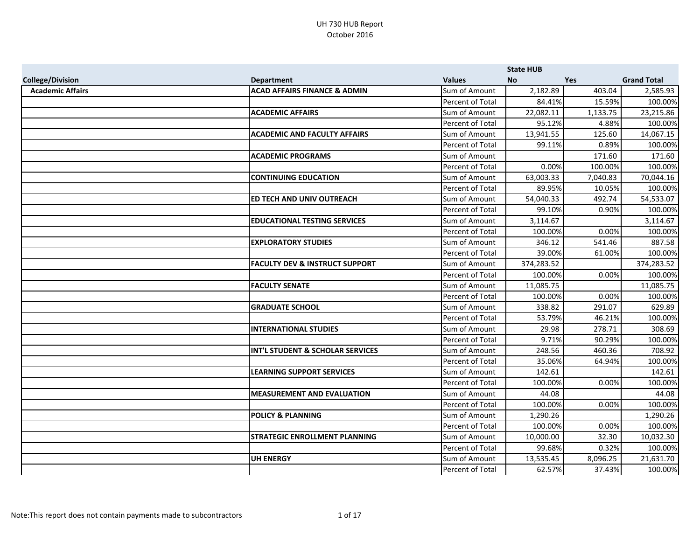|                         |                                             |                      | <b>State HUB</b> |            |                    |
|-------------------------|---------------------------------------------|----------------------|------------------|------------|--------------------|
| <b>College/Division</b> | <b>Department</b>                           | <b>Values</b>        | <b>No</b>        | <b>Yes</b> | <b>Grand Total</b> |
| <b>Academic Affairs</b> | <b>ACAD AFFAIRS FINANCE &amp; ADMIN</b>     | Sum of Amount        | 2,182.89         | 403.04     | 2,585.93           |
|                         |                                             | Percent of Total     | 84.41%           | 15.59%     | 100.00%            |
|                         | <b>ACADEMIC AFFAIRS</b>                     | Sum of Amount        | 22,082.11        | 1,133.75   | 23,215.86          |
|                         |                                             | Percent of Total     | 95.12%           | 4.88%      | 100.00%            |
|                         | <b>ACADEMIC AND FACULTY AFFAIRS</b>         | Sum of Amount        | 13,941.55        | 125.60     | 14,067.15          |
|                         |                                             | Percent of Total     | 99.11%           | 0.89%      | 100.00%            |
|                         | <b>ACADEMIC PROGRAMS</b>                    | Sum of Amount        |                  | 171.60     | 171.60             |
|                         |                                             | Percent of Total     | 0.00%            | 100.00%    | 100.00%            |
|                         | <b>CONTINUING EDUCATION</b>                 | Sum of Amount        | 63,003.33        | 7,040.83   | 70,044.16          |
|                         |                                             | Percent of Total     | 89.95%           | 10.05%     | 100.00%            |
|                         | <b>ED TECH AND UNIV OUTREACH</b>            | <b>Sum of Amount</b> | 54,040.33        | 492.74     | 54,533.07          |
|                         |                                             | Percent of Total     | 99.10%           | 0.90%      | 100.00%            |
|                         | <b>EDUCATIONAL TESTING SERVICES</b>         | Sum of Amount        | 3,114.67         |            | 3,114.67           |
|                         |                                             | Percent of Total     | 100.00%          | 0.00%      | 100.00%            |
|                         | <b>EXPLORATORY STUDIES</b>                  | Sum of Amount        | 346.12           | 541.46     | 887.58             |
|                         |                                             | Percent of Total     | 39.00%           | 61.00%     | 100.00%            |
|                         | <b>FACULTY DEV &amp; INSTRUCT SUPPORT</b>   | Sum of Amount        | 374,283.52       |            | 374,283.52         |
|                         |                                             | Percent of Total     | 100.00%          | 0.00%      | 100.00%            |
|                         | <b>FACULTY SENATE</b>                       | Sum of Amount        | 11,085.75        |            | 11,085.75          |
|                         |                                             | Percent of Total     | 100.00%          | 0.00%      | 100.00%            |
|                         | <b>GRADUATE SCHOOL</b>                      | <b>Sum of Amount</b> | 338.82           | 291.07     | 629.89             |
|                         |                                             | Percent of Total     | 53.79%           | 46.21%     | 100.00%            |
|                         | <b>INTERNATIONAL STUDIES</b>                | Sum of Amount        | 29.98            | 278.71     | 308.69             |
|                         |                                             | Percent of Total     | 9.71%            | 90.29%     | 100.00%            |
|                         | <b>INT'L STUDENT &amp; SCHOLAR SERVICES</b> | Sum of Amount        | 248.56           | 460.36     | 708.92             |
|                         |                                             | Percent of Total     | 35.06%           | 64.94%     | 100.00%            |
|                         | <b>LEARNING SUPPORT SERVICES</b>            | Sum of Amount        | 142.61           |            | 142.61             |
|                         |                                             | Percent of Total     | 100.00%          | 0.00%      | 100.00%            |
|                         | <b>MEASUREMENT AND EVALUATION</b>           | Sum of Amount        | 44.08            |            | 44.08              |
|                         |                                             | Percent of Total     | 100.00%          | 0.00%      | 100.00%            |
|                         | <b>POLICY &amp; PLANNING</b>                | Sum of Amount        | 1,290.26         |            | 1,290.26           |
|                         |                                             | Percent of Total     | 100.00%          | 0.00%      | 100.00%            |
|                         | <b>STRATEGIC ENROLLMENT PLANNING</b>        | Sum of Amount        | 10,000.00        | 32.30      | 10,032.30          |
|                         |                                             | Percent of Total     | 99.68%           | 0.32%      | 100.00%            |
|                         | UH ENERGY                                   | Sum of Amount        | 13,535.45        | 8,096.25   | 21,631.70          |
|                         |                                             | Percent of Total     | 62.57%           | 37.43%     | 100.00%            |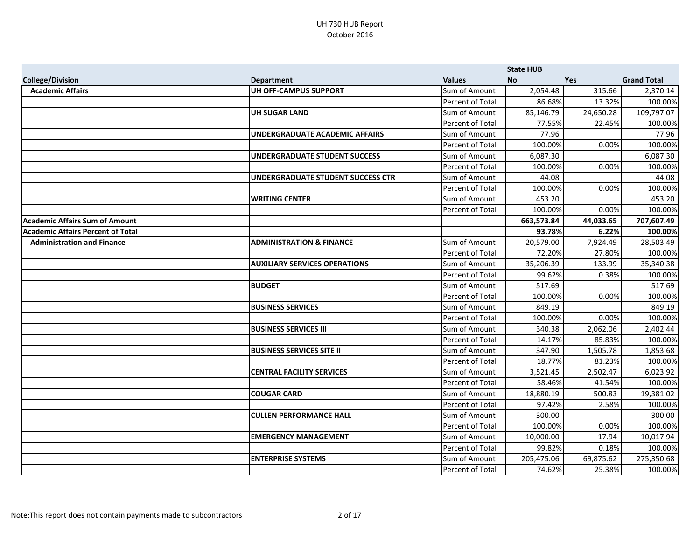|                                          |                                      |                      | <b>State HUB</b> |            |                    |
|------------------------------------------|--------------------------------------|----------------------|------------------|------------|--------------------|
| <b>College/Division</b>                  | <b>Department</b>                    | <b>Values</b>        | <b>No</b>        | <b>Yes</b> | <b>Grand Total</b> |
| <b>Academic Affairs</b>                  | UH OFF-CAMPUS SUPPORT                | Sum of Amount        | 2,054.48         | 315.66     | 2,370.14           |
|                                          |                                      | Percent of Total     | 86.68%           | 13.32%     | 100.00%            |
|                                          | UH SUGAR LAND                        | Sum of Amount        | 85,146.79        | 24,650.28  | 109,797.07         |
|                                          |                                      | Percent of Total     | 77.55%           | 22.45%     | 100.00%            |
|                                          | UNDERGRADUATE ACADEMIC AFFAIRS       | Sum of Amount        | 77.96            |            | 77.96              |
|                                          |                                      | Percent of Total     | 100.00%          | 0.00%      | 100.00%            |
|                                          | UNDERGRADUATE STUDENT SUCCESS        | Sum of Amount        | 6,087.30         |            | 6,087.30           |
|                                          |                                      | Percent of Total     | 100.00%          | 0.00%      | 100.00%            |
|                                          | UNDERGRADUATE STUDENT SUCCESS CTR    | Sum of Amount        | 44.08            |            | 44.08              |
|                                          |                                      | Percent of Total     | 100.00%          | 0.00%      | 100.00%            |
|                                          | <b>WRITING CENTER</b>                | <b>Sum of Amount</b> | 453.20           |            | 453.20             |
|                                          |                                      | Percent of Total     | 100.00%          | 0.00%      | 100.00%            |
| <b>Academic Affairs Sum of Amount</b>    |                                      |                      | 663,573.84       | 44,033.65  | 707,607.49         |
| <b>Academic Affairs Percent of Total</b> |                                      |                      | 93.78%           | 6.22%      | 100.00%            |
| <b>Administration and Finance</b>        | <b>ADMINISTRATION &amp; FINANCE</b>  | Sum of Amount        | 20,579.00        | 7,924.49   | 28,503.49          |
|                                          |                                      | Percent of Total     | 72.20%           | 27.80%     | 100.00%            |
|                                          | <b>AUXILIARY SERVICES OPERATIONS</b> | Sum of Amount        | 35,206.39        | 133.99     | 35,340.38          |
|                                          |                                      | Percent of Total     | 99.62%           | 0.38%      | 100.00%            |
|                                          | <b>BUDGET</b>                        | Sum of Amount        | 517.69           |            | 517.69             |
|                                          |                                      | Percent of Total     | 100.00%          | 0.00%      | 100.00%            |
|                                          | <b>BUSINESS SERVICES</b>             | <b>Sum of Amount</b> | 849.19           |            | 849.19             |
|                                          |                                      | Percent of Total     | 100.00%          | 0.00%      | 100.00%            |
|                                          | <b>BUSINESS SERVICES III</b>         | Sum of Amount        | 340.38           | 2,062.06   | 2,402.44           |
|                                          |                                      | Percent of Total     | 14.17%           | 85.83%     | 100.00%            |
|                                          | <b>BUSINESS SERVICES SITE II</b>     | Sum of Amount        | 347.90           | 1,505.78   | 1,853.68           |
|                                          |                                      | Percent of Total     | 18.77%           | 81.23%     | 100.00%            |
|                                          | <b>CENTRAL FACILITY SERVICES</b>     | Sum of Amount        | 3,521.45         | 2,502.47   | 6,023.92           |
|                                          |                                      | Percent of Total     | 58.46%           | 41.54%     | 100.00%            |
|                                          | <b>COUGAR CARD</b>                   | Sum of Amount        | 18,880.19        | 500.83     | 19,381.02          |
|                                          |                                      | Percent of Total     | 97.42%           | 2.58%      | 100.00%            |
|                                          | <b>CULLEN PERFORMANCE HALL</b>       | Sum of Amount        | 300.00           |            | 300.00             |
|                                          |                                      | Percent of Total     | 100.00%          | 0.00%      | 100.00%            |
|                                          | <b>EMERGENCY MANAGEMENT</b>          | Sum of Amount        | 10,000.00        | 17.94      | 10,017.94          |
|                                          |                                      | Percent of Total     | 99.82%           | 0.18%      | 100.00%            |
|                                          | <b>ENTERPRISE SYSTEMS</b>            | Sum of Amount        | 205,475.06       | 69,875.62  | 275,350.68         |
|                                          |                                      | Percent of Total     | 74.62%           | 25.38%     | 100.00%            |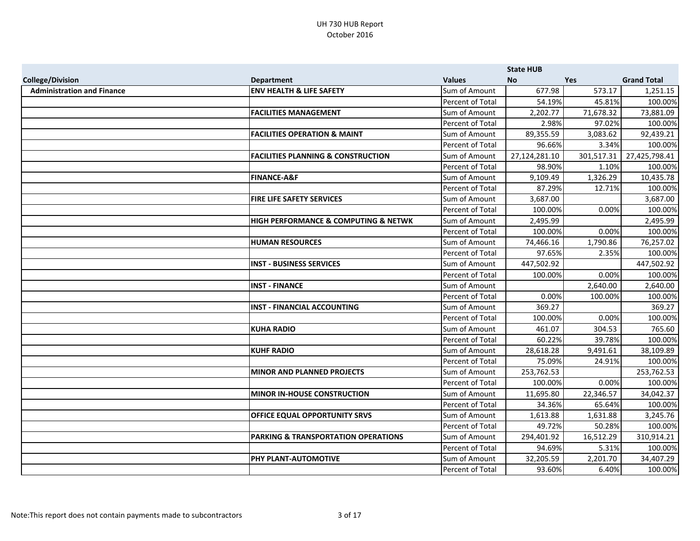|                                   |                                                     |                      | <b>State HUB</b> |            |                    |
|-----------------------------------|-----------------------------------------------------|----------------------|------------------|------------|--------------------|
| <b>College/Division</b>           | <b>Department</b>                                   | <b>Values</b>        | <b>No</b>        | <b>Yes</b> | <b>Grand Total</b> |
| <b>Administration and Finance</b> | <b>ENV HEALTH &amp; LIFE SAFETY</b>                 | Sum of Amount        | 677.98           | 573.17     | 1,251.15           |
|                                   |                                                     | Percent of Total     | 54.19%           | 45.81%     | 100.00%            |
|                                   | <b>FACILITIES MANAGEMENT</b>                        | Sum of Amount        | 2,202.77         | 71,678.32  | 73,881.09          |
|                                   |                                                     | Percent of Total     | 2.98%            | 97.02%     | 100.00%            |
|                                   | <b>FACILITIES OPERATION &amp; MAINT</b>             | Sum of Amount        | 89,355.59        | 3,083.62   | 92,439.21          |
|                                   |                                                     | Percent of Total     | 96.66%           | 3.34%      | 100.00%            |
|                                   | <b>FACILITIES PLANNING &amp; CONSTRUCTION</b>       | Sum of Amount        | 27,124,281.10    | 301,517.31 | 27,425,798.41      |
|                                   |                                                     | Percent of Total     | 98.90%           | 1.10%      | 100.00%            |
|                                   | <b>FINANCE-A&amp;F</b>                              | Sum of Amount        | 9,109.49         | 1,326.29   | 10,435.78          |
|                                   |                                                     | Percent of Total     | 87.29%           | 12.71%     | 100.00%            |
|                                   | <b>FIRE LIFE SAFETY SERVICES</b>                    | <b>Sum of Amount</b> | 3,687.00         |            | 3,687.00           |
|                                   |                                                     | Percent of Total     | 100.00%          | 0.00%      | 100.00%            |
|                                   | <b>HIGH PERFORMANCE &amp; COMPUTING &amp; NETWK</b> | Sum of Amount        | 2,495.99         |            | 2,495.99           |
|                                   |                                                     | Percent of Total     | 100.00%          | 0.00%      | 100.00%            |
|                                   | <b>HUMAN RESOURCES</b>                              | Sum of Amount        | 74,466.16        | 1,790.86   | 76,257.02          |
|                                   |                                                     | Percent of Total     | 97.65%           | 2.35%      | 100.00%            |
|                                   | <b>INST - BUSINESS SERVICES</b>                     | Sum of Amount        | 447,502.92       |            | 447,502.92         |
|                                   |                                                     | Percent of Total     | 100.00%          | 0.00%      | 100.00%            |
|                                   | <b>INST - FINANCE</b>                               | Sum of Amount        |                  | 2,640.00   | 2,640.00           |
|                                   |                                                     | Percent of Total     | 0.00%            | 100.00%    | 100.00%            |
|                                   | <b>INST - FINANCIAL ACCOUNTING</b>                  | <b>Sum of Amount</b> | 369.27           |            | 369.27             |
|                                   |                                                     | Percent of Total     | 100.00%          | 0.00%      | 100.00%            |
|                                   | <b>KUHA RADIO</b>                                   | Sum of Amount        | 461.07           | 304.53     | 765.60             |
|                                   |                                                     | Percent of Total     | 60.22%           | 39.78%     | 100.00%            |
|                                   | <b>KUHF RADIO</b>                                   | Sum of Amount        | 28,618.28        | 9,491.61   | 38,109.89          |
|                                   |                                                     | Percent of Total     | 75.09%           | 24.91%     | 100.00%            |
|                                   | MINOR AND PLANNED PROJECTS                          | Sum of Amount        | 253,762.53       |            | 253,762.53         |
|                                   |                                                     | Percent of Total     | 100.00%          | 0.00%      | 100.00%            |
|                                   | <b>MINOR IN-HOUSE CONSTRUCTION</b>                  | Sum of Amount        | 11,695.80        | 22,346.57  | 34,042.37          |
|                                   |                                                     | Percent of Total     | 34.36%           | 65.64%     | 100.00%            |
|                                   | <b>OFFICE EQUAL OPPORTUNITY SRVS</b>                | Sum of Amount        | 1,613.88         | 1,631.88   | 3,245.76           |
|                                   |                                                     | Percent of Total     | 49.72%           | 50.28%     | 100.00%            |
|                                   | <b>PARKING &amp; TRANSPORTATION OPERATIONS</b>      | Sum of Amount        | 294,401.92       | 16,512.29  | 310,914.21         |
|                                   |                                                     | Percent of Total     | 94.69%           | 5.31%      | 100.00%            |
|                                   | <b>PHY PLANT-AUTOMOTIVE</b>                         | Sum of Amount        | 32,205.59        | 2,201.70   | 34,407.29          |
|                                   |                                                     | Percent of Total     | 93.60%           | 6.40%      | 100.00%            |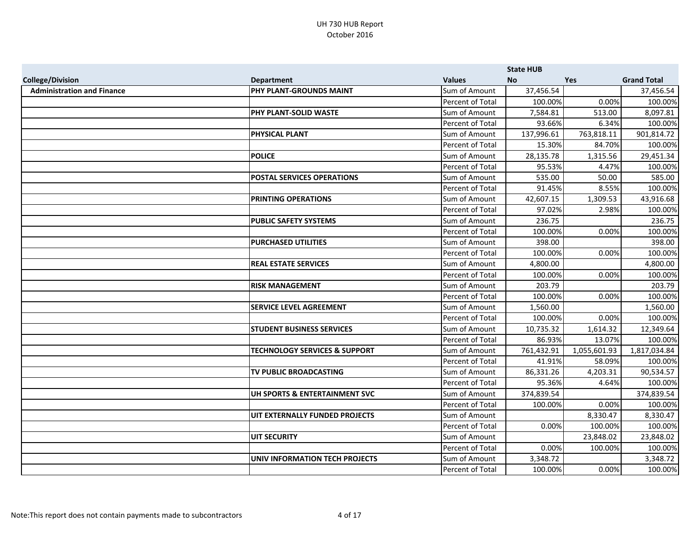|                                   |                                          |                         | <b>State HUB</b> |              |                    |
|-----------------------------------|------------------------------------------|-------------------------|------------------|--------------|--------------------|
| <b>College/Division</b>           | <b>Department</b>                        | <b>Values</b>           | No               | <b>Yes</b>   | <b>Grand Total</b> |
| <b>Administration and Finance</b> | <b>PHY PLANT-GROUNDS MAINT</b>           | Sum of Amount           | 37,456.54        |              | 37,456.54          |
|                                   |                                          | Percent of Total        | 100.00%          | 0.00%        | 100.00%            |
|                                   | <b>PHY PLANT-SOLID WASTE</b>             | Sum of Amount           | 7,584.81         | 513.00       | 8,097.81           |
|                                   |                                          | Percent of Total        | 93.66%           | 6.34%        | 100.00%            |
|                                   | <b>PHYSICAL PLANT</b>                    | Sum of Amount           | 137,996.61       | 763,818.11   | 901,814.72         |
|                                   |                                          | Percent of Total        | 15.30%           | 84.70%       | 100.00%            |
|                                   | <b>POLICE</b>                            | Sum of Amount           | 28,135.78        | 1,315.56     | 29,451.34          |
|                                   |                                          | Percent of Total        | 95.53%           | 4.47%        | 100.00%            |
|                                   | <b>POSTAL SERVICES OPERATIONS</b>        | Sum of Amount           | 535.00           | 50.00        | 585.00             |
|                                   |                                          | Percent of Total        | 91.45%           | 8.55%        | 100.00%            |
|                                   | <b>PRINTING OPERATIONS</b>               | Sum of Amount           | 42,607.15        | 1,309.53     | 43,916.68          |
|                                   |                                          | Percent of Total        | 97.02%           | 2.98%        | 100.00%            |
|                                   | <b>PUBLIC SAFETY SYSTEMS</b>             | Sum of Amount           | 236.75           |              | 236.75             |
|                                   |                                          | Percent of Total        | 100.00%          | 0.00%        | 100.00%            |
|                                   | <b>PURCHASED UTILITIES</b>               | Sum of Amount           | 398.00           |              | 398.00             |
|                                   |                                          | Percent of Total        | 100.00%          | 0.00%        | 100.00%            |
|                                   | <b>REAL ESTATE SERVICES</b>              | Sum of Amount           | 4,800.00         |              | 4,800.00           |
|                                   |                                          | <b>Percent of Total</b> | 100.00%          | 0.00%        | 100.00%            |
|                                   | <b>RISK MANAGEMENT</b>                   | Sum of Amount           | 203.79           |              | 203.79             |
|                                   |                                          | Percent of Total        | 100.00%          | 0.00%        | 100.00%            |
|                                   | <b>SERVICE LEVEL AGREEMENT</b>           | Sum of Amount           | 1,560.00         |              | 1,560.00           |
|                                   |                                          | Percent of Total        | 100.00%          | 0.00%        | 100.00%            |
|                                   | <b>STUDENT BUSINESS SERVICES</b>         | Sum of Amount           | 10,735.32        | 1,614.32     | 12,349.64          |
|                                   |                                          | Percent of Total        | 86.93%           | 13.07%       | 100.00%            |
|                                   | <b>TECHNOLOGY SERVICES &amp; SUPPORT</b> | Sum of Amount           | 761,432.91       | 1,055,601.93 | 1,817,034.84       |
|                                   |                                          | Percent of Total        | 41.91%           | 58.09%       | 100.00%            |
|                                   | TV PUBLIC BROADCASTING                   | Sum of Amount           | 86,331.26        | 4,203.31     | 90,534.57          |
|                                   |                                          | Percent of Total        | 95.36%           | 4.64%        | 100.00%            |
|                                   | UH SPORTS & ENTERTAINMENT SVC            | Sum of Amount           | 374,839.54       |              | 374,839.54         |
|                                   |                                          | Percent of Total        | 100.00%          | 0.00%        | 100.00%            |
|                                   | UIT EXTERNALLY FUNDED PROJECTS           | Sum of Amount           |                  | 8,330.47     | 8,330.47           |
|                                   |                                          | Percent of Total        | 0.00%            | 100.00%      | 100.00%            |
|                                   | <b>UIT SECURITY</b>                      | Sum of Amount           |                  | 23,848.02    | 23,848.02          |
|                                   |                                          | Percent of Total        | 0.00%            | 100.00%      | 100.00%            |
|                                   | UNIV INFORMATION TECH PROJECTS           | Sum of Amount           | 3,348.72         |              | 3,348.72           |
|                                   |                                          | Percent of Total        | 100.00%          | 0.00%        | 100.00%            |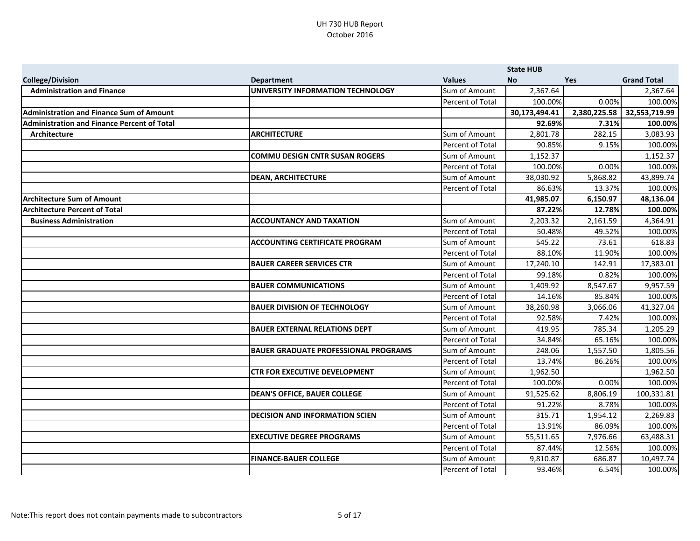|                                                 |                                             |                         | <b>State HUB</b> |              |                    |
|-------------------------------------------------|---------------------------------------------|-------------------------|------------------|--------------|--------------------|
| <b>College/Division</b>                         | <b>Department</b>                           | <b>Values</b>           | <b>No</b>        | <b>Yes</b>   | <b>Grand Total</b> |
| <b>Administration and Finance</b>               | UNIVERSITY INFORMATION TECHNOLOGY           | Sum of Amount           | 2,367.64         |              | 2,367.64           |
|                                                 |                                             | Percent of Total        | 100.00%          | 0.00%        | 100.00%            |
| <b>Administration and Finance Sum of Amount</b> |                                             |                         | 30,173,494.41    | 2,380,225.58 | 32,553,719.99      |
| Administration and Finance Percent of Total     |                                             |                         | 92.69%           | 7.31%        | 100.00%            |
| Architecture                                    | <b>ARCHITECTURE</b>                         | Sum of Amount           | 2,801.78         | 282.15       | 3,083.93           |
|                                                 |                                             | Percent of Total        | 90.85%           | 9.15%        | 100.00%            |
|                                                 | <b>COMMU DESIGN CNTR SUSAN ROGERS</b>       | Sum of Amount           | 1,152.37         |              | 1,152.37           |
|                                                 |                                             | <b>Percent of Total</b> | 100.00%          | 0.00%        | 100.00%            |
|                                                 | <b>DEAN, ARCHITECTURE</b>                   | Sum of Amount           | 38,030.92        | 5,868.82     | 43,899.74          |
|                                                 |                                             | Percent of Total        | 86.63%           | 13.37%       | 100.00%            |
| <b>Architecture Sum of Amount</b>               |                                             |                         | 41,985.07        | 6,150.97     | 48,136.04          |
| <b>Architecture Percent of Total</b>            |                                             |                         | 87.22%           | 12.78%       | 100.00%            |
| <b>Business Administration</b>                  | <b>ACCOUNTANCY AND TAXATION</b>             | Sum of Amount           | 2,203.32         | 2,161.59     | 4,364.91           |
|                                                 |                                             | Percent of Total        | 50.48%           | 49.52%       | 100.00%            |
|                                                 | <b>ACCOUNTING CERTIFICATE PROGRAM</b>       | Sum of Amount           | 545.22           | 73.61        | 618.83             |
|                                                 |                                             | Percent of Total        | 88.10%           | 11.90%       | 100.00%            |
|                                                 | <b>BAUER CAREER SERVICES CTR</b>            | Sum of Amount           | 17,240.10        | 142.91       | 17,383.01          |
|                                                 |                                             | Percent of Total        | 99.18%           | 0.82%        | 100.00%            |
|                                                 | <b>BAUER COMMUNICATIONS</b>                 | Sum of Amount           | 1,409.92         | 8,547.67     | 9,957.59           |
|                                                 |                                             | Percent of Total        | 14.16%           | 85.84%       | 100.00%            |
|                                                 | <b>BAUER DIVISION OF TECHNOLOGY</b>         | <b>Sum of Amount</b>    | 38,260.98        | 3,066.06     | 41,327.04          |
|                                                 |                                             | Percent of Total        | 92.58%           | 7.42%        | 100.00%            |
|                                                 | <b>BAUER EXTERNAL RELATIONS DEPT</b>        | Sum of Amount           | 419.95           | 785.34       | 1,205.29           |
|                                                 |                                             | Percent of Total        | 34.84%           | 65.16%       | 100.00%            |
|                                                 | <b>BAUER GRADUATE PROFESSIONAL PROGRAMS</b> | <b>Sum of Amount</b>    | 248.06           | 1,557.50     | 1,805.56           |
|                                                 |                                             | Percent of Total        | 13.74%           | 86.26%       | 100.00%            |
|                                                 | <b>CTR FOR EXECUTIVE DEVELOPMENT</b>        | Sum of Amount           | 1,962.50         |              | 1,962.50           |
|                                                 |                                             | Percent of Total        | 100.00%          | 0.00%        | 100.00%            |
|                                                 | <b>DEAN'S OFFICE, BAUER COLLEGE</b>         | Sum of Amount           | 91,525.62        | 8,806.19     | 100,331.81         |
|                                                 |                                             | Percent of Total        | 91.22%           | 8.78%        | 100.00%            |
|                                                 | <b>DECISION AND INFORMATION SCIEN</b>       | Sum of Amount           | 315.71           | 1,954.12     | 2,269.83           |
|                                                 |                                             | Percent of Total        | 13.91%           | 86.09%       | 100.00%            |
|                                                 | <b>EXECUTIVE DEGREE PROGRAMS</b>            | Sum of Amount           | 55,511.65        | 7,976.66     | 63,488.31          |
|                                                 |                                             | Percent of Total        | 87.44%           | 12.56%       | 100.00%            |
|                                                 | <b>FINANCE-BAUER COLLEGE</b>                | Sum of Amount           | 9,810.87         | 686.87       | 10,497.74          |
|                                                 |                                             | Percent of Total        | 93.46%           | 6.54%        | 100.00%            |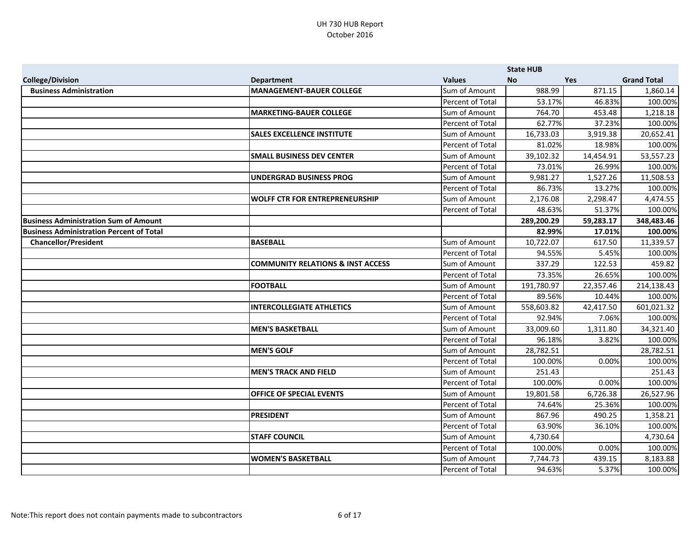|                                                 |                                              |                  | <b>State HUB</b> |            |                    |
|-------------------------------------------------|----------------------------------------------|------------------|------------------|------------|--------------------|
| <b>College/Division</b>                         | <b>Department</b>                            | <b>Values</b>    | <b>No</b>        | <b>Yes</b> | <b>Grand Total</b> |
| <b>Business Administration</b>                  | MANAGEMENT-BAUER COLLEGE                     | Sum of Amount    | 988.99           | 871.15     | 1,860.14           |
|                                                 |                                              | Percent of Total | 53.17%           | 46.83%     | 100.00%            |
|                                                 | <b>MARKETING-BAUER COLLEGE</b>               | Sum of Amount    | 764.70           | 453.48     | 1,218.18           |
|                                                 |                                              | Percent of Total | 62.77%           | 37.23%     | 100.00%            |
|                                                 | <b>SALES EXCELLENCE INSTITUTE</b>            | Sum of Amount    | 16,733.03        | 3,919.38   | 20,652.41          |
|                                                 |                                              | Percent of Total | 81.02%           | 18.98%     | 100.00%            |
|                                                 | <b>SMALL BUSINESS DEV CENTER</b>             | Sum of Amount    | 39,102.32        | 14,454.91  | 53,557.23          |
|                                                 |                                              | Percent of Total | 73.01%           | 26.99%     | 100.00%            |
|                                                 | <b>UNDERGRAD BUSINESS PROG</b>               | Sum of Amount    | 9,981.27         | 1,527.26   | 11,508.53          |
|                                                 |                                              | Percent of Total | 86.73%           | 13.27%     | 100.00%            |
|                                                 | <b>WOLFF CTR FOR ENTREPRENEURSHIP</b>        | Sum of Amount    | 2,176.08         | 2,298.47   | 4,474.55           |
|                                                 |                                              | Percent of Total | 48.63%           | 51.37%     | 100.00%            |
| <b>Business Administration Sum of Amount</b>    |                                              |                  | 289,200.29       | 59,283.17  | 348,483.46         |
| <b>Business Administration Percent of Total</b> |                                              |                  | 82.99%           | 17.01%     | 100.00%            |
| <b>Chancellor/President</b>                     | <b>BASEBALL</b>                              | Sum of Amount    | 10,722.07        | 617.50     | 11,339.57          |
|                                                 |                                              | Percent of Total | 94.55%           | 5.45%      | 100.00%            |
|                                                 | <b>COMMUNITY RELATIONS &amp; INST ACCESS</b> | Sum of Amount    | 337.29           | 122.53     | 459.82             |
|                                                 |                                              | Percent of Total | 73.35%           | 26.65%     | 100.00%            |
|                                                 | <b>FOOTBALL</b>                              | Sum of Amount    | 191,780.97       | 22,357.46  | 214,138.43         |
|                                                 |                                              | Percent of Total | 89.56%           | 10.44%     | 100.00%            |
|                                                 | <b>INTERCOLLEGIATE ATHLETICS</b>             | Sum of Amount    | 558,603.82       | 42,417.50  | 601,021.32         |
|                                                 |                                              | Percent of Total | 92.94%           | 7.06%      | 100.00%            |
|                                                 | <b>MEN'S BASKETBALL</b>                      | Sum of Amount    | 33,009.60        | 1,311.80   | 34,321.40          |
|                                                 |                                              | Percent of Total | 96.18%           | 3.82%      | 100.00%            |
|                                                 | <b>MEN'S GOLF</b>                            | Sum of Amount    | 28,782.51        |            | 28,782.51          |
|                                                 |                                              | Percent of Total | 100.00%          | 0.00%      | 100.00%            |
|                                                 | <b>MEN'S TRACK AND FIELD</b>                 | Sum of Amount    | 251.43           |            | 251.43             |
|                                                 |                                              | Percent of Total | 100.00%          | 0.00%      | 100.00%            |
|                                                 | <b>OFFICE OF SPECIAL EVENTS</b>              | Sum of Amount    | 19,801.58        | 6,726.38   | 26,527.96          |
|                                                 |                                              | Percent of Total | 74.64%           | 25.36%     | 100.00%            |
|                                                 | <b>PRESIDENT</b>                             | Sum of Amount    | 867.96           | 490.25     | 1,358.21           |
|                                                 |                                              | Percent of Total | 63.90%           | 36.10%     | 100.00%            |
|                                                 | <b>STAFF COUNCIL</b>                         | Sum of Amount    | 4,730.64         |            | 4,730.64           |
|                                                 |                                              | Percent of Total | 100.00%          | 0.00%      | 100.00%            |
|                                                 | <b>WOMEN'S BASKETBALL</b>                    | Sum of Amount    | 7,744.73         | 439.15     | 8,183.88           |
|                                                 |                                              | Percent of Total | 94.63%           | 5.37%      | 100.00%            |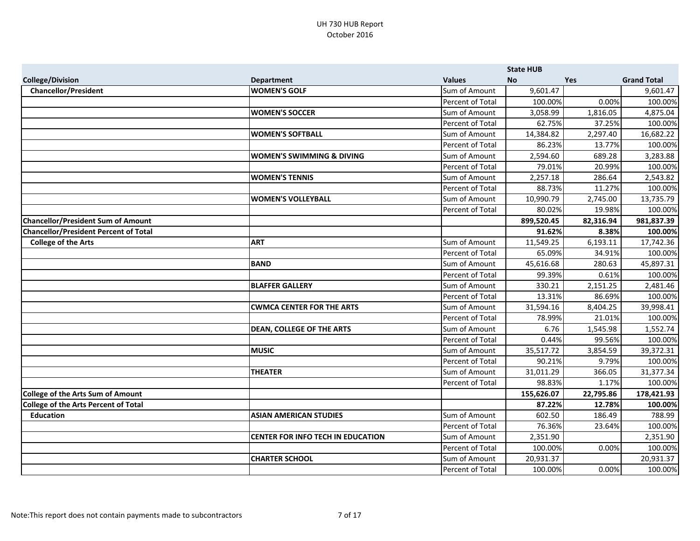|                                              |                                          |                  | <b>State HUB</b> |           |                    |
|----------------------------------------------|------------------------------------------|------------------|------------------|-----------|--------------------|
| <b>College/Division</b>                      | <b>Department</b>                        | <b>Values</b>    | <b>No</b>        | Yes       | <b>Grand Total</b> |
| <b>Chancellor/President</b>                  | <b>WOMEN'S GOLF</b>                      | Sum of Amount    | 9,601.47         |           | 9,601.47           |
|                                              |                                          | Percent of Total | 100.00%          | 0.00%     | 100.00%            |
|                                              | <b>WOMEN'S SOCCER</b>                    | Sum of Amount    | 3,058.99         | 1,816.05  | 4,875.04           |
|                                              |                                          | Percent of Total | 62.75%           | 37.25%    | 100.00%            |
|                                              | <b>WOMEN'S SOFTBALL</b>                  | Sum of Amount    | 14,384.82        | 2,297.40  | 16,682.22          |
|                                              |                                          | Percent of Total | 86.23%           | 13.77%    | 100.00%            |
|                                              | <b>WOMEN'S SWIMMING &amp; DIVING</b>     | Sum of Amount    | 2,594.60         | 689.28    | 3,283.88           |
|                                              |                                          | Percent of Total | 79.01%           | 20.99%    | 100.00%            |
|                                              | <b>WOMEN'S TENNIS</b>                    | Sum of Amount    | 2,257.18         | 286.64    | 2,543.82           |
|                                              |                                          | Percent of Total | 88.73%           | 11.27%    | 100.00%            |
|                                              | <b>WOMEN'S VOLLEYBALL</b>                | Sum of Amount    | 10,990.79        | 2,745.00  | 13,735.79          |
|                                              |                                          | Percent of Total | 80.02%           | 19.98%    | 100.00%            |
| <b>Chancellor/President Sum of Amount</b>    |                                          |                  | 899,520.45       | 82,316.94 | 981,837.39         |
| <b>Chancellor/President Percent of Total</b> |                                          |                  | 91.62%           | 8.38%     | 100.00%            |
| <b>College of the Arts</b>                   | <b>ART</b>                               | Sum of Amount    | 11,549.25        | 6,193.11  | 17,742.36          |
|                                              |                                          | Percent of Total | 65.09%           | 34.91%    | 100.00%            |
|                                              | <b>BAND</b>                              | Sum of Amount    | 45,616.68        | 280.63    | 45,897.31          |
|                                              |                                          | Percent of Total | 99.39%           | 0.61%     | 100.00%            |
|                                              | <b>BLAFFER GALLERY</b>                   | Sum of Amount    | 330.21           | 2,151.25  | 2,481.46           |
|                                              |                                          | Percent of Total | 13.31%           | 86.69%    | 100.00%            |
|                                              | <b>CWMCA CENTER FOR THE ARTS</b>         | Sum of Amount    | 31,594.16        | 8,404.25  | 39,998.41          |
|                                              |                                          | Percent of Total | 78.99%           | 21.01%    | 100.00%            |
|                                              | <b>DEAN, COLLEGE OF THE ARTS</b>         | Sum of Amount    | 6.76             | 1,545.98  | 1,552.74           |
|                                              |                                          | Percent of Total | 0.44%            | 99.56%    | 100.00%            |
|                                              | <b>MUSIC</b>                             | Sum of Amount    | 35,517.72        | 3,854.59  | 39,372.31          |
|                                              |                                          | Percent of Total | 90.21%           | 9.79%     | 100.00%            |
|                                              | <b>THEATER</b>                           | Sum of Amount    | 31,011.29        | 366.05    | 31,377.34          |
|                                              |                                          | Percent of Total | 98.83%           | 1.17%     | 100.00%            |
| <b>College of the Arts Sum of Amount</b>     |                                          |                  | 155,626.07       | 22,795.86 | 178,421.93         |
| <b>College of the Arts Percent of Total</b>  |                                          |                  | 87.22%           | 12.78%    | 100.00%            |
| <b>Education</b>                             | <b>ASIAN AMERICAN STUDIES</b>            | Sum of Amount    | 602.50           | 186.49    | 788.99             |
|                                              |                                          | Percent of Total | 76.36%           | 23.64%    | 100.00%            |
|                                              | <b>CENTER FOR INFO TECH IN EDUCATION</b> | Sum of Amount    | 2,351.90         |           | 2,351.90           |
|                                              |                                          | Percent of Total | 100.00%          | 0.00%     | 100.00%            |
|                                              | <b>CHARTER SCHOOL</b>                    | Sum of Amount    | 20,931.37        |           | 20,931.37          |
|                                              |                                          | Percent of Total | 100.00%          | 0.00%     | 100.00%            |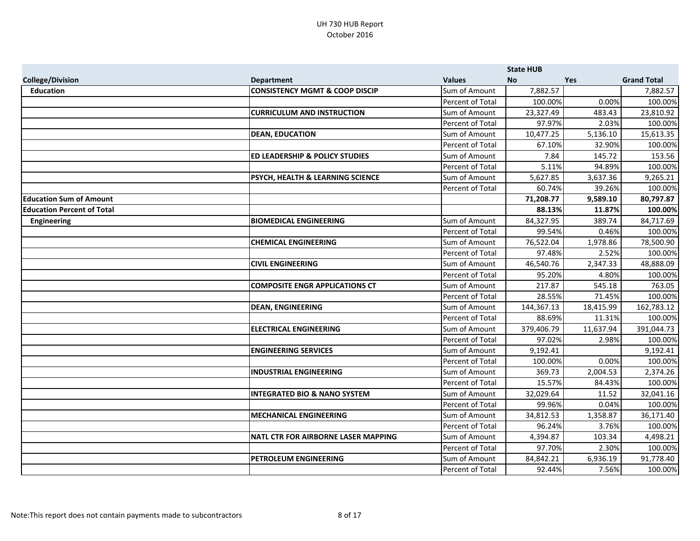|                                   |                                             |                      | <b>State HUB</b> |            |                    |
|-----------------------------------|---------------------------------------------|----------------------|------------------|------------|--------------------|
| <b>College/Division</b>           | <b>Department</b>                           | <b>Values</b>        | <b>No</b>        | <b>Yes</b> | <b>Grand Total</b> |
| <b>Education</b>                  | <b>CONSISTENCY MGMT &amp; COOP DISCIP</b>   | Sum of Amount        | 7,882.57         |            | 7,882.57           |
|                                   |                                             | Percent of Total     | 100.00%          | 0.00%      | 100.00%            |
|                                   | <b>CURRICULUM AND INSTRUCTION</b>           | Sum of Amount        | 23,327.49        | 483.43     | 23,810.92          |
|                                   |                                             | Percent of Total     | 97.97%           | 2.03%      | 100.00%            |
|                                   | <b>DEAN, EDUCATION</b>                      | Sum of Amount        | 10,477.25        | 5,136.10   | 15,613.35          |
|                                   |                                             | Percent of Total     | 67.10%           | 32.90%     | 100.00%            |
|                                   | <b>ED LEADERSHIP &amp; POLICY STUDIES</b>   | Sum of Amount        | 7.84             | 145.72     | 153.56             |
|                                   |                                             | Percent of Total     | 5.11%            | 94.89%     | 100.00%            |
|                                   | <b>PSYCH, HEALTH &amp; LEARNING SCIENCE</b> | Sum of Amount        | 5,627.85         | 3,637.36   | 9,265.21           |
|                                   |                                             | Percent of Total     | 60.74%           | 39.26%     | 100.00%            |
| <b>Education Sum of Amount</b>    |                                             |                      | 71,208.77        | 9,589.10   | 80,797.87          |
| <b>Education Percent of Total</b> |                                             |                      | 88.13%           | 11.87%     | 100.00%            |
| <b>Engineering</b>                | <b>BIOMEDICAL ENGINEERING</b>               | Sum of Amount        | 84,327.95        | 389.74     | 84,717.69          |
|                                   |                                             | Percent of Total     | 99.54%           | 0.46%      | 100.00%            |
|                                   | <b>CHEMICAL ENGINEERING</b>                 | Sum of Amount        | 76,522.04        | 1,978.86   | 78,500.90          |
|                                   |                                             | Percent of Total     | 97.48%           | 2.52%      | 100.00%            |
|                                   | <b>CIVIL ENGINEERING</b>                    | Sum of Amount        | 46,540.76        | 2,347.33   | 48,888.09          |
|                                   |                                             | Percent of Total     | 95.20%           | 4.80%      | 100.00%            |
|                                   | <b>COMPOSITE ENGR APPLICATIONS CT</b>       | Sum of Amount        | 217.87           | 545.18     | 763.05             |
|                                   |                                             | Percent of Total     | 28.55%           | 71.45%     | 100.00%            |
|                                   | <b>DEAN, ENGINEERING</b>                    | <b>Sum of Amount</b> | 144,367.13       | 18,415.99  | 162,783.12         |
|                                   |                                             | Percent of Total     | 88.69%           | 11.31%     | 100.00%            |
|                                   | <b>ELECTRICAL ENGINEERING</b>               | Sum of Amount        | 379,406.79       | 11,637.94  | 391,044.73         |
|                                   |                                             | Percent of Total     | 97.02%           | 2.98%      | 100.00%            |
|                                   | <b>ENGINEERING SERVICES</b>                 | Sum of Amount        | 9,192.41         |            | 9,192.41           |
|                                   |                                             | Percent of Total     | 100.00%          | 0.00%      | 100.00%            |
|                                   | <b>INDUSTRIAL ENGINEERING</b>               | Sum of Amount        | 369.73           | 2,004.53   | 2,374.26           |
|                                   |                                             | Percent of Total     | 15.57%           | 84.43%     | 100.00%            |
|                                   | <b>INTEGRATED BIO &amp; NANO SYSTEM</b>     | Sum of Amount        | 32,029.64        | 11.52      | 32,041.16          |
|                                   |                                             | Percent of Total     | 99.96%           | 0.04%      | 100.00%            |
|                                   | <b>MECHANICAL ENGINEERING</b>               | Sum of Amount        | 34,812.53        | 1,358.87   | 36,171.40          |
|                                   |                                             | Percent of Total     | 96.24%           | 3.76%      | 100.00%            |
|                                   | NATL CTR FOR AIRBORNE LASER MAPPING         | Sum of Amount        | 4,394.87         | 103.34     | 4,498.21           |
|                                   |                                             | Percent of Total     | 97.70%           | 2.30%      | 100.00%            |
|                                   | <b>PETROLEUM ENGINEERING</b>                | Sum of Amount        | 84,842.21        | 6,936.19   | 91,778.40          |
|                                   |                                             | Percent of Total     | 92.44%           | 7.56%      | 100.00%            |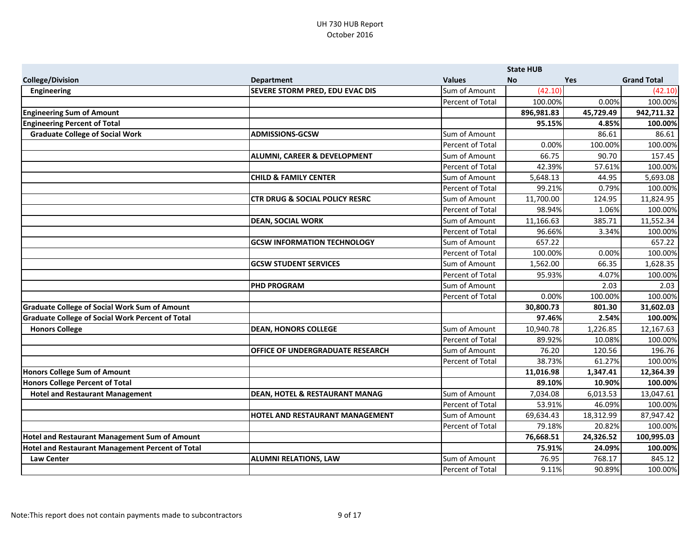|                                                         |                                           |                  | <b>State HUB</b> |           |                    |
|---------------------------------------------------------|-------------------------------------------|------------------|------------------|-----------|--------------------|
| <b>College/Division</b>                                 | <b>Department</b>                         | <b>Values</b>    | <b>No</b>        | Yes       | <b>Grand Total</b> |
| <b>Engineering</b>                                      | <b>SEVERE STORM PRED, EDU EVAC DIS</b>    | Sum of Amount    | (42.10)          |           | (42.10)            |
|                                                         |                                           | Percent of Total | 100.00%          | 0.00%     | 100.00%            |
| <b>Engineering Sum of Amount</b>                        |                                           |                  | 896,981.83       | 45,729.49 | 942,711.32         |
| <b>Engineering Percent of Total</b>                     |                                           |                  | 95.15%           | 4.85%     | 100.00%            |
| <b>Graduate College of Social Work</b>                  | <b>ADMISSIONS-GCSW</b>                    | Sum of Amount    |                  | 86.61     | 86.61              |
|                                                         |                                           | Percent of Total | 0.00%            | 100.00%   | 100.00%            |
|                                                         | <b>ALUMNI, CAREER &amp; DEVELOPMENT</b>   | Sum of Amount    | 66.75            | 90.70     | 157.45             |
|                                                         |                                           | Percent of Total | 42.39%           | 57.61%    | 100.00%            |
|                                                         | <b>CHILD &amp; FAMILY CENTER</b>          | Sum of Amount    | 5,648.13         | 44.95     | 5,693.08           |
|                                                         |                                           | Percent of Total | 99.21%           | 0.79%     | 100.00%            |
|                                                         | <b>CTR DRUG &amp; SOCIAL POLICY RESRC</b> | Sum of Amount    | 11,700.00        | 124.95    | 11,824.95          |
|                                                         |                                           | Percent of Total | 98.94%           | 1.06%     | 100.00%            |
|                                                         | <b>DEAN, SOCIAL WORK</b>                  | Sum of Amount    | 11,166.63        | 385.71    | 11,552.34          |
|                                                         |                                           | Percent of Total | 96.66%           | 3.34%     | 100.00%            |
|                                                         | <b>GCSW INFORMATION TECHNOLOGY</b>        | Sum of Amount    | 657.22           |           | 657.22             |
|                                                         |                                           | Percent of Total | 100.00%          | 0.00%     | 100.00%            |
|                                                         | <b>GCSW STUDENT SERVICES</b>              | Sum of Amount    | 1,562.00         | 66.35     | 1,628.35           |
|                                                         |                                           | Percent of Total | 95.93%           | 4.07%     | 100.00%            |
|                                                         | <b>PHD PROGRAM</b>                        | Sum of Amount    |                  | 2.03      | 2.03               |
|                                                         |                                           | Percent of Total | 0.00%            | 100.00%   | 100.00%            |
| <b>Graduate College of Social Work Sum of Amount</b>    |                                           |                  | 30,800.73        | 801.30    | 31,602.03          |
| <b>Graduate College of Social Work Percent of Total</b> |                                           |                  | 97.46%           | 2.54%     | 100.00%            |
| <b>Honors College</b>                                   | <b>DEAN, HONORS COLLEGE</b>               | Sum of Amount    | 10,940.78        | 1,226.85  | 12,167.63          |
|                                                         |                                           | Percent of Total | 89.92%           | 10.08%    | 100.00%            |
|                                                         | <b>OFFICE OF UNDERGRADUATE RESEARCH</b>   | Sum of Amount    | 76.20            | 120.56    | 196.76             |
|                                                         |                                           | Percent of Total | 38.73%           | 61.27%    | 100.00%            |
| Honors College Sum of Amount                            |                                           |                  | 11,016.98        | 1,347.41  | 12,364.39          |
| Honors College Percent of Total                         |                                           |                  | 89.10%           | 10.90%    | 100.00%            |
| <b>Hotel and Restaurant Management</b>                  | <b>DEAN, HOTEL &amp; RESTAURANT MANAG</b> | Sum of Amount    | 7,034.08         | 6,013.53  | 13,047.61          |
|                                                         |                                           | Percent of Total | 53.91%           | 46.09%    | 100.00%            |
|                                                         | <b>HOTEL AND RESTAURANT MANAGEMENT</b>    | Sum of Amount    | 69,634.43        | 18,312.99 | 87,947.42          |
|                                                         |                                           | Percent of Total | 79.18%           | 20.82%    | 100.00%            |
| <b>Hotel and Restaurant Management Sum of Amount</b>    |                                           |                  | 76,668.51        | 24,326.52 | 100,995.03         |
| Hotel and Restaurant Management Percent of Total        |                                           |                  | 75.91%           | 24.09%    | 100.00%            |
| <b>Law Center</b>                                       | <b>ALUMNI RELATIONS, LAW</b>              | Sum of Amount    | 76.95            | 768.17    | 845.12             |
|                                                         |                                           | Percent of Total | 9.11%            | 90.89%    | 100.00%            |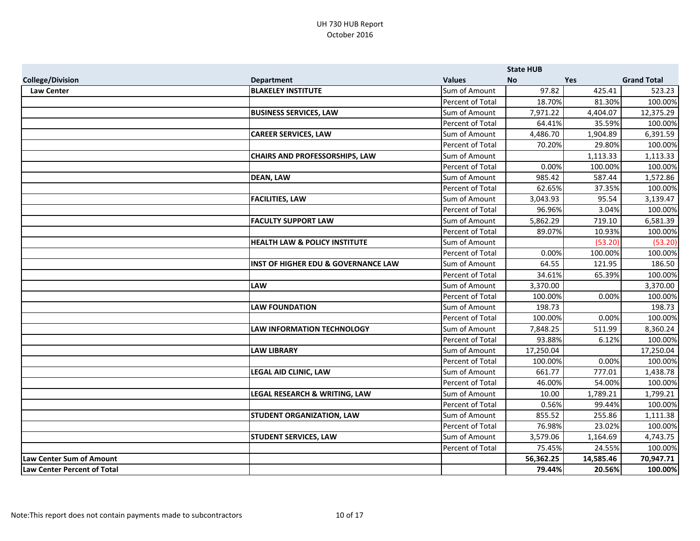|                                    |                                                |                         | <b>State HUB</b> |           |                    |
|------------------------------------|------------------------------------------------|-------------------------|------------------|-----------|--------------------|
| <b>College/Division</b>            | <b>Department</b>                              | <b>Values</b>           | <b>No</b>        | Yes       | <b>Grand Total</b> |
| <b>Law Center</b>                  | <b>BLAKELEY INSTITUTE</b>                      | Sum of Amount           | 97.82            | 425.41    | 523.23             |
|                                    |                                                | Percent of Total        | 18.70%           | 81.30%    | 100.00%            |
|                                    | <b>BUSINESS SERVICES, LAW</b>                  | Sum of Amount           | 7,971.22         | 4,404.07  | 12,375.29          |
|                                    |                                                | Percent of Total        | 64.41%           | 35.59%    | 100.00%            |
|                                    | <b>CAREER SERVICES, LAW</b>                    | Sum of Amount           | 4,486.70         | 1,904.89  | 6,391.59           |
|                                    |                                                | Percent of Total        | 70.20%           | 29.80%    | 100.00%            |
|                                    | <b>CHAIRS AND PROFESSORSHIPS, LAW</b>          | Sum of Amount           |                  | 1,113.33  | 1,113.33           |
|                                    |                                                | Percent of Total        | 0.00%            | 100.00%   | 100.00%            |
|                                    | <b>DEAN, LAW</b>                               | Sum of Amount           | 985.42           | 587.44    | 1,572.86           |
|                                    |                                                | Percent of Total        | 62.65%           | 37.35%    | 100.00%            |
|                                    | <b>FACILITIES, LAW</b>                         | Sum of Amount           | 3,043.93         | 95.54     | 3,139.47           |
|                                    |                                                | Percent of Total        | 96.96%           | 3.04%     | 100.00%            |
|                                    | <b>FACULTY SUPPORT LAW</b>                     | Sum of Amount           | 5,862.29         | 719.10    | 6,581.39           |
|                                    |                                                | Percent of Total        | 89.07%           | 10.93%    | 100.00%            |
|                                    | <b>HEALTH LAW &amp; POLICY INSTITUTE</b>       | Sum of Amount           |                  | (53.20)   | (53.20)            |
|                                    |                                                | Percent of Total        | 0.00%            | 100.00%   | 100.00%            |
|                                    | <b>INST OF HIGHER EDU &amp; GOVERNANCE LAW</b> | Sum of Amount           | 64.55            | 121.95    | 186.50             |
|                                    |                                                | Percent of Total        | 34.61%           | 65.39%    | 100.00%            |
|                                    | <b>LAW</b>                                     | Sum of Amount           | 3,370.00         |           | 3,370.00           |
|                                    |                                                | Percent of Total        | 100.00%          | 0.00%     | 100.00%            |
|                                    | <b>LAW FOUNDATION</b>                          | Sum of Amount           | 198.73           |           | 198.73             |
|                                    |                                                | Percent of Total        | 100.00%          | 0.00%     | 100.00%            |
|                                    | <b>LAW INFORMATION TECHNOLOGY</b>              | Sum of Amount           | 7,848.25         | 511.99    | 8,360.24           |
|                                    |                                                | Percent of Total        | 93.88%           | 6.12%     | 100.00%            |
|                                    | <b>LAW LIBRARY</b>                             | Sum of Amount           | 17,250.04        |           | 17,250.04          |
|                                    |                                                | <b>Percent of Total</b> | 100.00%          | 0.00%     | 100.00%            |
|                                    | LEGAL AID CLINIC, LAW                          | Sum of Amount           | 661.77           | 777.01    | 1,438.78           |
|                                    |                                                | Percent of Total        | 46.00%           | 54.00%    | 100.00%            |
|                                    | LEGAL RESEARCH & WRITING, LAW                  | Sum of Amount           | 10.00            | 1,789.21  | 1,799.21           |
|                                    |                                                | <b>Percent of Total</b> | 0.56%            | 99.44%    | 100.00%            |
|                                    | <b>STUDENT ORGANIZATION, LAW</b>               | Sum of Amount           | 855.52           | 255.86    | 1,111.38           |
|                                    |                                                | Percent of Total        | 76.98%           | 23.02%    | 100.00%            |
|                                    | <b>STUDENT SERVICES, LAW</b>                   | Sum of Amount           | 3,579.06         | 1,164.69  | 4,743.75           |
|                                    |                                                | Percent of Total        | 75.45%           | 24.55%    | 100.00%            |
| <b>Law Center Sum of Amount</b>    |                                                |                         | 56,362.25        | 14,585.46 | 70,947.71          |
| <b>Law Center Percent of Total</b> |                                                |                         | 79.44%           | 20.56%    | 100.00%            |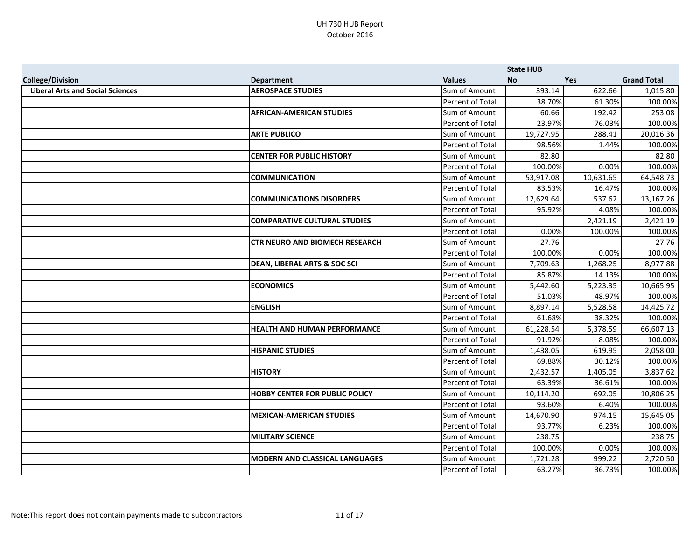|                                         |                                         |                  | <b>State HUB</b> |            |                    |
|-----------------------------------------|-----------------------------------------|------------------|------------------|------------|--------------------|
| <b>College/Division</b>                 | <b>Department</b>                       | <b>Values</b>    | <b>No</b>        | <b>Yes</b> | <b>Grand Total</b> |
| <b>Liberal Arts and Social Sciences</b> | <b>AEROSPACE STUDIES</b>                | Sum of Amount    | 393.14           | 622.66     | 1,015.80           |
|                                         |                                         | Percent of Total | 38.70%           | 61.30%     | 100.00%            |
|                                         | <b>AFRICAN-AMERICAN STUDIES</b>         | Sum of Amount    | 60.66            | 192.42     | 253.08             |
|                                         |                                         | Percent of Total | 23.97%           | 76.03%     | 100.00%            |
|                                         | <b>ARTE PUBLICO</b>                     | Sum of Amount    | 19,727.95        | 288.41     | 20,016.36          |
|                                         |                                         | Percent of Total | 98.56%           | 1.44%      | 100.00%            |
|                                         | <b>CENTER FOR PUBLIC HISTORY</b>        | Sum of Amount    | 82.80            |            | 82.80              |
|                                         |                                         | Percent of Total | 100.00%          | 0.00%      | 100.00%            |
|                                         | <b>COMMUNICATION</b>                    | Sum of Amount    | 53,917.08        | 10,631.65  | 64,548.73          |
|                                         |                                         | Percent of Total | 83.53%           | 16.47%     | 100.00%            |
|                                         | <b>COMMUNICATIONS DISORDERS</b>         | Sum of Amount    | 12,629.64        | 537.62     | 13,167.26          |
|                                         |                                         | Percent of Total | 95.92%           | 4.08%      | 100.00%            |
|                                         | <b>COMPARATIVE CULTURAL STUDIES</b>     | Sum of Amount    |                  | 2,421.19   | 2,421.19           |
|                                         |                                         | Percent of Total | 0.00%            | 100.00%    | 100.00%            |
|                                         | <b>CTR NEURO AND BIOMECH RESEARCH</b>   | Sum of Amount    | 27.76            |            | 27.76              |
|                                         |                                         | Percent of Total | 100.00%          | 0.00%      | 100.00%            |
|                                         | <b>DEAN, LIBERAL ARTS &amp; SOC SCI</b> | Sum of Amount    | 7,709.63         | 1,268.25   | 8,977.88           |
|                                         |                                         | Percent of Total | 85.87%           | 14.13%     | 100.00%            |
|                                         | <b>ECONOMICS</b>                        | Sum of Amount    | 5,442.60         | 5,223.35   | 10,665.95          |
|                                         |                                         | Percent of Total | 51.03%           | 48.97%     | 100.00%            |
|                                         | <b>ENGLISH</b>                          | Sum of Amount    | 8,897.14         | 5,528.58   | 14,425.72          |
|                                         |                                         | Percent of Total | 61.68%           | 38.32%     | 100.00%            |
|                                         | <b>HEALTH AND HUMAN PERFORMANCE</b>     | Sum of Amount    | 61,228.54        | 5,378.59   | 66,607.13          |
|                                         |                                         | Percent of Total | 91.92%           | 8.08%      | 100.00%            |
|                                         | <b>HISPANIC STUDIES</b>                 | Sum of Amount    | 1,438.05         | 619.95     | 2,058.00           |
|                                         |                                         | Percent of Total | 69.88%           | 30.12%     | 100.00%            |
|                                         | <b>HISTORY</b>                          | Sum of Amount    | 2,432.57         | 1,405.05   | 3,837.62           |
|                                         |                                         | Percent of Total | 63.39%           | 36.61%     | 100.00%            |
|                                         | <b>HOBBY CENTER FOR PUBLIC POLICY</b>   | Sum of Amount    | 10,114.20        | 692.05     | 10,806.25          |
|                                         |                                         | Percent of Total | 93.60%           | 6.40%      | 100.00%            |
|                                         | <b>MEXICAN-AMERICAN STUDIES</b>         | Sum of Amount    | 14,670.90        | 974.15     | 15,645.05          |
|                                         |                                         | Percent of Total | 93.77%           | 6.23%      | 100.00%            |
|                                         | <b>MILITARY SCIENCE</b>                 | Sum of Amount    | 238.75           |            | 238.75             |
|                                         |                                         | Percent of Total | 100.00%          | 0.00%      | 100.00%            |
|                                         | <b>MODERN AND CLASSICAL LANGUAGES</b>   | Sum of Amount    | 1,721.28         | 999.22     | 2,720.50           |
|                                         |                                         | Percent of Total | 63.27%           | 36.73%     | 100.00%            |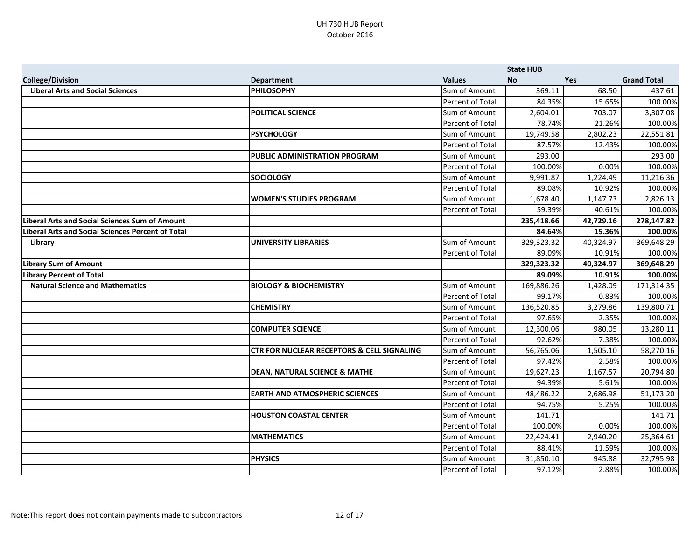|                                                          |                                                       |                      | <b>State HUB</b> |            |                    |
|----------------------------------------------------------|-------------------------------------------------------|----------------------|------------------|------------|--------------------|
| <b>College/Division</b>                                  | <b>Department</b>                                     | <b>Values</b>        | <b>No</b>        | <b>Yes</b> | <b>Grand Total</b> |
| <b>Liberal Arts and Social Sciences</b>                  | <b>PHILOSOPHY</b>                                     | Sum of Amount        | 369.11           | 68.50      | 437.61             |
|                                                          |                                                       | Percent of Total     | 84.35%           | 15.65%     | 100.00%            |
|                                                          | <b>POLITICAL SCIENCE</b>                              | <b>Sum of Amount</b> | 2,604.01         | 703.07     | 3,307.08           |
|                                                          |                                                       | Percent of Total     | 78.74%           | 21.26%     | 100.00%            |
|                                                          | <b>PSYCHOLOGY</b>                                     | Sum of Amount        | 19,749.58        | 2,802.23   | 22,551.81          |
|                                                          |                                                       | Percent of Total     | 87.57%           | 12.43%     | 100.00%            |
|                                                          | <b>PUBLIC ADMINISTRATION PROGRAM</b>                  | Sum of Amount        | 293.00           |            | 293.00             |
|                                                          |                                                       | Percent of Total     | 100.00%          | 0.00%      | 100.00%            |
|                                                          | <b>SOCIOLOGY</b>                                      | Sum of Amount        | 9,991.87         | 1,224.49   | 11,216.36          |
|                                                          |                                                       | Percent of Total     | 89.08%           | 10.92%     | 100.00%            |
|                                                          | <b>WOMEN'S STUDIES PROGRAM</b>                        | Sum of Amount        | 1,678.40         | 1,147.73   | 2,826.13           |
|                                                          |                                                       | Percent of Total     | 59.39%           | 40.61%     | 100.00%            |
| <b>Liberal Arts and Social Sciences Sum of Amount</b>    |                                                       |                      | 235,418.66       | 42,729.16  | 278,147.82         |
| <b>Liberal Arts and Social Sciences Percent of Total</b> |                                                       |                      | 84.64%           | 15.36%     | 100.00%            |
| Library                                                  | <b>UNIVERSITY LIBRARIES</b>                           | Sum of Amount        | 329,323.32       | 40,324.97  | 369,648.29         |
|                                                          |                                                       | Percent of Total     | 89.09%           | 10.91%     | 100.00%            |
| <b>Library Sum of Amount</b>                             |                                                       |                      | 329,323.32       | 40,324.97  | 369,648.29         |
| <b>Library Percent of Total</b>                          |                                                       |                      | 89.09%           | 10.91%     | 100.00%            |
| <b>Natural Science and Mathematics</b>                   | <b>BIOLOGY &amp; BIOCHEMISTRY</b>                     | Sum of Amount        | 169,886.26       | 1,428.09   | 171,314.35         |
|                                                          |                                                       | Percent of Total     | 99.17%           | 0.83%      | 100.00%            |
|                                                          | <b>CHEMISTRY</b>                                      | Sum of Amount        | 136,520.85       | 3,279.86   | 139,800.71         |
|                                                          |                                                       | Percent of Total     | 97.65%           | 2.35%      | 100.00%            |
|                                                          | <b>COMPUTER SCIENCE</b>                               | Sum of Amount        | 12,300.06        | 980.05     | 13,280.11          |
|                                                          |                                                       | Percent of Total     | 92.62%           | 7.38%      | 100.00%            |
|                                                          | <b>CTR FOR NUCLEAR RECEPTORS &amp; CELL SIGNALING</b> | <b>Sum of Amount</b> | 56,765.06        | 1,505.10   | 58,270.16          |
|                                                          |                                                       | Percent of Total     | 97.42%           | 2.58%      | 100.00%            |
|                                                          | <b>DEAN, NATURAL SCIENCE &amp; MATHE</b>              | Sum of Amount        | 19,627.23        | 1,167.57   | 20,794.80          |
|                                                          |                                                       | Percent of Total     | 94.39%           | 5.61%      | 100.00%            |
|                                                          | <b>EARTH AND ATMOSPHERIC SCIENCES</b>                 | Sum of Amount        | 48,486.22        | 2,686.98   | 51,173.20          |
|                                                          |                                                       | Percent of Total     | 94.75%           | 5.25%      | 100.00%            |
|                                                          | <b>HOUSTON COASTAL CENTER</b>                         | Sum of Amount        | 141.71           |            | 141.71             |
|                                                          |                                                       | Percent of Total     | 100.00%          | 0.00%      | 100.00%            |
|                                                          | <b>MATHEMATICS</b>                                    | Sum of Amount        | 22,424.41        | 2,940.20   | 25,364.61          |
|                                                          |                                                       | Percent of Total     | 88.41%           | 11.59%     | 100.00%            |
|                                                          | <b>PHYSICS</b>                                        | Sum of Amount        | 31,850.10        | 945.88     | 32,795.98          |
|                                                          |                                                       | Percent of Total     | 97.12%           | 2.88%      | 100.00%            |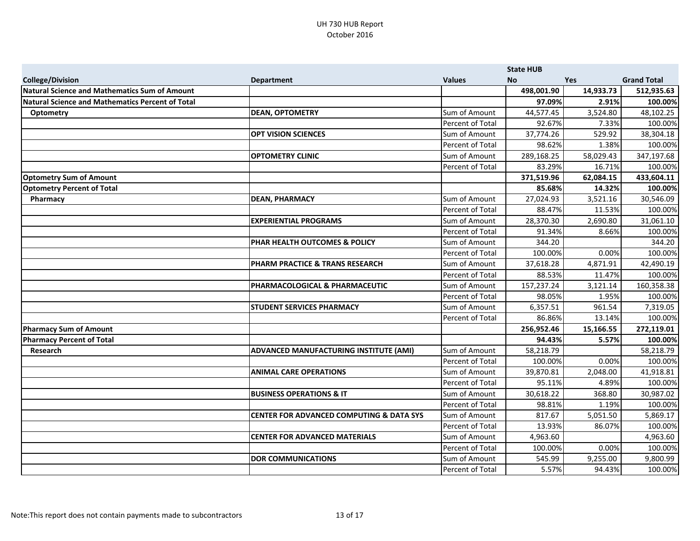|                                                  |                                                     |                  | <b>State HUB</b> |            |                    |
|--------------------------------------------------|-----------------------------------------------------|------------------|------------------|------------|--------------------|
| <b>College/Division</b>                          | <b>Department</b>                                   | <b>Values</b>    | <b>No</b>        | <b>Yes</b> | <b>Grand Total</b> |
| Natural Science and Mathematics Sum of Amount    |                                                     |                  | 498,001.90       | 14,933.73  | 512,935.63         |
| Natural Science and Mathematics Percent of Total |                                                     |                  | 97.09%           | 2.91%      | 100.00%            |
| <b>Optometry</b>                                 | <b>DEAN, OPTOMETRY</b>                              | Sum of Amount    | 44,577.45        | 3,524.80   | 48,102.25          |
|                                                  |                                                     | Percent of Total | 92.67%           | 7.33%      | 100.00%            |
|                                                  | <b>OPT VISION SCIENCES</b>                          | Sum of Amount    | 37,774.26        | 529.92     | 38,304.18          |
|                                                  |                                                     | Percent of Total | 98.62%           | 1.38%      | 100.00%            |
|                                                  | <b>OPTOMETRY CLINIC</b>                             | Sum of Amount    | 289,168.25       | 58,029.43  | 347,197.68         |
|                                                  |                                                     | Percent of Total | 83.29%           | 16.71%     | 100.00%            |
| <b>Optometry Sum of Amount</b>                   |                                                     |                  | 371,519.96       | 62,084.15  | 433,604.11         |
| <b>Optometry Percent of Total</b>                |                                                     |                  | 85.68%           | 14.32%     | 100.00%            |
| Pharmacy                                         | <b>DEAN, PHARMACY</b>                               | Sum of Amount    | 27,024.93        | 3,521.16   | 30,546.09          |
|                                                  |                                                     | Percent of Total | 88.47%           | 11.53%     | 100.00%            |
|                                                  | <b>EXPERIENTIAL PROGRAMS</b>                        | Sum of Amount    | 28,370.30        | 2,690.80   | 31,061.10          |
|                                                  |                                                     | Percent of Total | 91.34%           | 8.66%      | 100.00%            |
|                                                  | PHAR HEALTH OUTCOMES & POLICY                       | Sum of Amount    | 344.20           |            | 344.20             |
|                                                  |                                                     | Percent of Total | 100.00%          | 0.00%      | 100.00%            |
|                                                  | PHARM PRACTICE & TRANS RESEARCH                     | Sum of Amount    | 37,618.28        | 4,871.91   | 42,490.19          |
|                                                  |                                                     | Percent of Total | 88.53%           | 11.47%     | 100.00%            |
|                                                  | PHARMACOLOGICAL & PHARMACEUTIC                      | Sum of Amount    | 157,237.24       | 3,121.14   | 160,358.38         |
|                                                  |                                                     | Percent of Total | 98.05%           | 1.95%      | 100.00%            |
|                                                  | <b>STUDENT SERVICES PHARMACY</b>                    | Sum of Amount    | 6,357.51         | 961.54     | 7,319.05           |
|                                                  |                                                     | Percent of Total | 86.86%           | 13.14%     | 100.00%            |
| Pharmacy Sum of Amount                           |                                                     |                  | 256,952.46       | 15,166.55  | 272,119.01         |
| <b>Pharmacy Percent of Total</b>                 |                                                     |                  | 94.43%           | 5.57%      | 100.00%            |
| Research                                         | <b>ADVANCED MANUFACTURING INSTITUTE (AMI)</b>       | Sum of Amount    | 58,218.79        |            | 58,218.79          |
|                                                  |                                                     | Percent of Total | 100.00%          | 0.00%      | 100.00%            |
|                                                  | <b>ANIMAL CARE OPERATIONS</b>                       | Sum of Amount    | 39,870.81        | 2,048.00   | 41,918.81          |
|                                                  |                                                     | Percent of Total | 95.11%           | 4.89%      | 100.00%            |
|                                                  | <b>BUSINESS OPERATIONS &amp; IT</b>                 | Sum of Amount    | 30,618.22        | 368.80     | 30,987.02          |
|                                                  |                                                     | Percent of Total | 98.81%           | 1.19%      | 100.00%            |
|                                                  | <b>CENTER FOR ADVANCED COMPUTING &amp; DATA SYS</b> | Sum of Amount    | 817.67           | 5,051.50   | 5,869.17           |
|                                                  |                                                     | Percent of Total | 13.93%           | 86.07%     | 100.00%            |
|                                                  | <b>CENTER FOR ADVANCED MATERIALS</b>                | Sum of Amount    | 4,963.60         |            | 4,963.60           |
|                                                  |                                                     | Percent of Total | 100.00%          | 0.00%      | 100.00%            |
|                                                  | <b>DOR COMMUNICATIONS</b>                           | Sum of Amount    | 545.99           | 9,255.00   | 9,800.99           |
|                                                  |                                                     | Percent of Total | 5.57%            | 94.43%     | 100.00%            |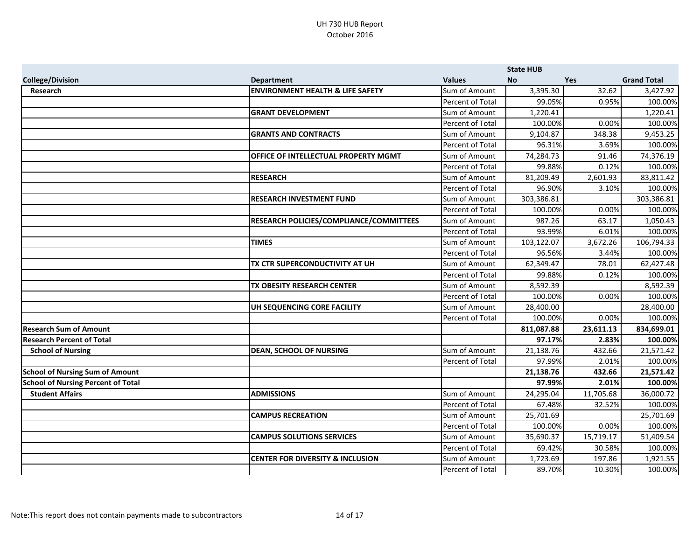|                                           |                                                |                      | <b>State HUB</b> |           |                    |
|-------------------------------------------|------------------------------------------------|----------------------|------------------|-----------|--------------------|
| <b>College/Division</b>                   | <b>Department</b>                              | <b>Values</b>        | <b>No</b>        | Yes       | <b>Grand Total</b> |
| Research                                  | <b>ENVIRONMENT HEALTH &amp; LIFE SAFETY</b>    | Sum of Amount        | 3,395.30         | 32.62     | 3,427.92           |
|                                           |                                                | Percent of Total     | 99.05%           | 0.95%     | 100.00%            |
|                                           | <b>GRANT DEVELOPMENT</b>                       | <b>Sum of Amount</b> | 1,220.41         |           | 1,220.41           |
|                                           |                                                | Percent of Total     | 100.00%          | 0.00%     | 100.00%            |
|                                           | <b>GRANTS AND CONTRACTS</b>                    | Sum of Amount        | 9,104.87         | 348.38    | 9,453.25           |
|                                           |                                                | Percent of Total     | 96.31%           | 3.69%     | 100.00%            |
|                                           | <b>OFFICE OF INTELLECTUAL PROPERTY MGMT</b>    | Sum of Amount        | 74,284.73        | 91.46     | 74,376.19          |
|                                           |                                                | Percent of Total     | 99.88%           | 0.12%     | 100.00%            |
|                                           | <b>RESEARCH</b>                                | Sum of Amount        | 81,209.49        | 2,601.93  | 83,811.42          |
|                                           |                                                | Percent of Total     | 96.90%           | 3.10%     | 100.00%            |
|                                           | <b>RESEARCH INVESTMENT FUND</b>                | Sum of Amount        | 303,386.81       |           | 303,386.81         |
|                                           |                                                | Percent of Total     | 100.00%          | 0.00%     | 100.00%            |
|                                           | <b>RESEARCH POLICIES/COMPLIANCE/COMMITTEES</b> | <b>Sum of Amount</b> | 987.26           | 63.17     | 1,050.43           |
|                                           |                                                | Percent of Total     | 93.99%           | 6.01%     | 100.00%            |
|                                           | <b>TIMES</b>                                   | Sum of Amount        | 103,122.07       | 3,672.26  | 106,794.33         |
|                                           |                                                | Percent of Total     | 96.56%           | 3.44%     | 100.00%            |
|                                           | TX CTR SUPERCONDUCTIVITY AT UH                 | Sum of Amount        | 62,349.47        | 78.01     | 62,427.48          |
|                                           |                                                | Percent of Total     | 99.88%           | 0.12%     | 100.00%            |
|                                           | <b>TX OBESITY RESEARCH CENTER</b>              | Sum of Amount        | 8,592.39         |           | 8,592.39           |
|                                           |                                                | Percent of Total     | 100.00%          | 0.00%     | 100.00%            |
|                                           | UH SEQUENCING CORE FACILITY                    | Sum of Amount        | 28,400.00        |           | 28,400.00          |
|                                           |                                                | Percent of Total     | 100.00%          | 0.00%     | 100.00%            |
| <b>Research Sum of Amount</b>             |                                                |                      | 811,087.88       | 23,611.13 | 834,699.01         |
| <b>Research Percent of Total</b>          |                                                |                      | 97.17%           | 2.83%     | 100.00%            |
| <b>School of Nursing</b>                  | <b>DEAN, SCHOOL OF NURSING</b>                 | Sum of Amount        | 21,138.76        | 432.66    | 21,571.42          |
|                                           |                                                | Percent of Total     | 97.99%           | 2.01%     | 100.00%            |
| <b>School of Nursing Sum of Amount</b>    |                                                |                      | 21,138.76        | 432.66    | 21,571.42          |
| <b>School of Nursing Percent of Total</b> |                                                |                      | 97.99%           | 2.01%     | 100.00%            |
| <b>Student Affairs</b>                    | <b>ADMISSIONS</b>                              | Sum of Amount        | 24,295.04        | 11,705.68 | 36,000.72          |
|                                           |                                                | Percent of Total     | 67.48%           | 32.52%    | 100.00%            |
|                                           | <b>CAMPUS RECREATION</b>                       | Sum of Amount        | 25,701.69        |           | 25,701.69          |
|                                           |                                                | Percent of Total     | 100.00%          | 0.00%     | 100.00%            |
|                                           | <b>CAMPUS SOLUTIONS SERVICES</b>               | Sum of Amount        | 35,690.37        | 15,719.17 | 51,409.54          |
|                                           |                                                | Percent of Total     | 69.42%           | 30.58%    | 100.00%            |
|                                           | <b>CENTER FOR DIVERSITY &amp; INCLUSION</b>    | Sum of Amount        | 1,723.69         | 197.86    | 1,921.55           |
|                                           |                                                | Percent of Total     | 89.70%           | 10.30%    | 100.00%            |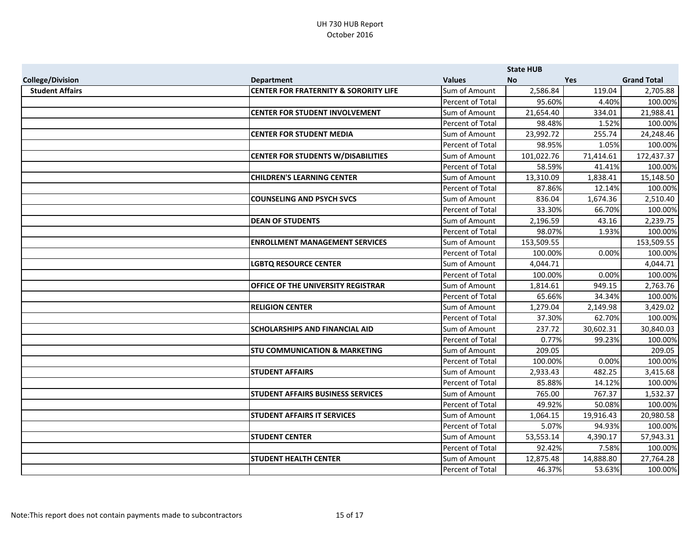|                         |                                                  |                      | <b>State HUB</b> |            |                    |
|-------------------------|--------------------------------------------------|----------------------|------------------|------------|--------------------|
| <b>College/Division</b> | <b>Department</b>                                | <b>Values</b>        | <b>No</b>        | <b>Yes</b> | <b>Grand Total</b> |
| <b>Student Affairs</b>  | <b>CENTER FOR FRATERNITY &amp; SORORITY LIFE</b> | Sum of Amount        | 2,586.84         | 119.04     | 2,705.88           |
|                         |                                                  | Percent of Total     | 95.60%           | 4.40%      | 100.00%            |
|                         | <b>CENTER FOR STUDENT INVOLVEMENT</b>            | Sum of Amount        | 21,654.40        | 334.01     | 21,988.41          |
|                         |                                                  | Percent of Total     | 98.48%           | 1.52%      | 100.00%            |
|                         | <b>CENTER FOR STUDENT MEDIA</b>                  | Sum of Amount        | 23,992.72        | 255.74     | 24,248.46          |
|                         |                                                  | Percent of Total     | 98.95%           | 1.05%      | 100.00%            |
|                         | <b>CENTER FOR STUDENTS W/DISABILITIES</b>        | Sum of Amount        | 101,022.76       | 71,414.61  | 172,437.37         |
|                         |                                                  | Percent of Total     | 58.59%           | 41.41%     | 100.00%            |
|                         | <b>CHILDREN'S LEARNING CENTER</b>                | Sum of Amount        | 13,310.09        | 1,838.41   | 15,148.50          |
|                         |                                                  | Percent of Total     | 87.86%           | 12.14%     | 100.00%            |
|                         | <b>COUNSELING AND PSYCH SVCS</b>                 | <b>Sum of Amount</b> | 836.04           | 1,674.36   | 2,510.40           |
|                         |                                                  | Percent of Total     | 33.30%           | 66.70%     | 100.00%            |
|                         | <b>DEAN OF STUDENTS</b>                          | Sum of Amount        | 2,196.59         | 43.16      | 2,239.75           |
|                         |                                                  | Percent of Total     | 98.07%           | 1.93%      | 100.00%            |
|                         | <b>ENROLLMENT MANAGEMENT SERVICES</b>            | Sum of Amount        | 153,509.55       |            | 153,509.55         |
|                         |                                                  | Percent of Total     | 100.00%          | 0.00%      | 100.00%            |
|                         | <b>LGBTQ RESOURCE CENTER</b>                     | Sum of Amount        | 4,044.71         |            | 4,044.71           |
|                         |                                                  | Percent of Total     | 100.00%          | 0.00%      | 100.00%            |
|                         | <b>OFFICE OF THE UNIVERSITY REGISTRAR</b>        | Sum of Amount        | 1,814.61         | 949.15     | 2,763.76           |
|                         |                                                  | Percent of Total     | 65.66%           | 34.34%     | 100.00%            |
|                         | <b>RELIGION CENTER</b>                           | Sum of Amount        | 1,279.04         | 2,149.98   | 3,429.02           |
|                         |                                                  | Percent of Total     | 37.30%           | 62.70%     | 100.00%            |
|                         | <b>SCHOLARSHIPS AND FINANCIAL AID</b>            | Sum of Amount        | 237.72           | 30,602.31  | 30,840.03          |
|                         |                                                  | Percent of Total     | 0.77%            | 99.23%     | 100.00%            |
|                         | <b>STU COMMUNICATION &amp; MARKETING</b>         | Sum of Amount        | 209.05           |            | 209.05             |
|                         |                                                  | Percent of Total     | 100.00%          | 0.00%      | 100.00%            |
|                         | <b>STUDENT AFFAIRS</b>                           | Sum of Amount        | 2,933.43         | 482.25     | 3,415.68           |
|                         |                                                  | Percent of Total     | 85.88%           | 14.12%     | 100.00%            |
|                         | <b>STUDENT AFFAIRS BUSINESS SERVICES</b>         | Sum of Amount        | 765.00           | 767.37     | 1,532.37           |
|                         |                                                  | Percent of Total     | 49.92%           | 50.08%     | 100.00%            |
|                         | <b>STUDENT AFFAIRS IT SERVICES</b>               | Sum of Amount        | 1,064.15         | 19,916.43  | 20,980.58          |
|                         |                                                  | Percent of Total     | 5.07%            | 94.93%     | 100.00%            |
|                         | <b>STUDENT CENTER</b>                            | Sum of Amount        | 53,553.14        | 4,390.17   | 57,943.31          |
|                         |                                                  | Percent of Total     | 92.42%           | 7.58%      | 100.00%            |
|                         | <b>STUDENT HEALTH CENTER</b>                     | Sum of Amount        | 12,875.48        | 14,888.80  | 27,764.28          |
|                         |                                                  | Percent of Total     | 46.37%           | 53.63%     | 100.00%            |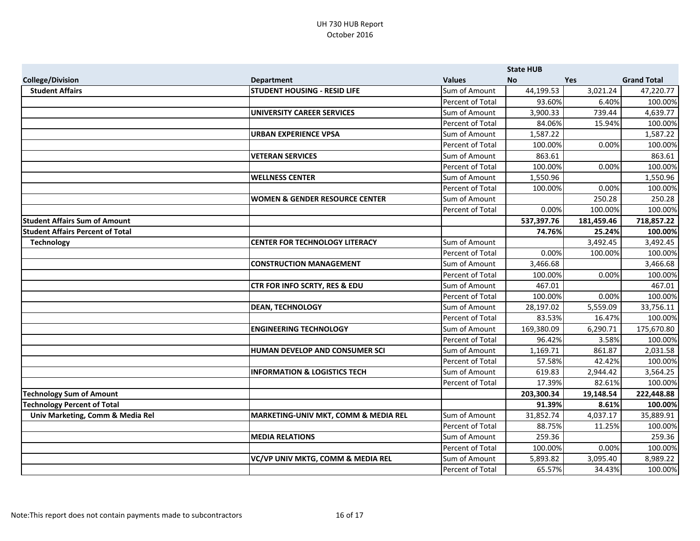|                                         |                                                 |                      | <b>State HUB</b> |            |                    |
|-----------------------------------------|-------------------------------------------------|----------------------|------------------|------------|--------------------|
| <b>College/Division</b>                 | <b>Department</b>                               | <b>Values</b>        | <b>No</b>        | <b>Yes</b> | <b>Grand Total</b> |
| <b>Student Affairs</b>                  | <b>STUDENT HOUSING - RESID LIFE</b>             | Sum of Amount        | 44,199.53        | 3,021.24   | 47,220.77          |
|                                         |                                                 | Percent of Total     | 93.60%           | 6.40%      | 100.00%            |
|                                         | UNIVERSITY CAREER SERVICES                      | Sum of Amount        | 3,900.33         | 739.44     | 4,639.77           |
|                                         |                                                 | Percent of Total     | 84.06%           | 15.94%     | 100.00%            |
|                                         | URBAN EXPERIENCE VPSA                           | Sum of Amount        | 1,587.22         |            | 1,587.22           |
|                                         |                                                 | Percent of Total     | 100.00%          | 0.00%      | 100.00%            |
|                                         | <b>VETERAN SERVICES</b>                         | Sum of Amount        | 863.61           |            | 863.61             |
|                                         |                                                 | Percent of Total     | 100.00%          | 0.00%      | 100.00%            |
|                                         | <b>WELLNESS CENTER</b>                          | Sum of Amount        | 1,550.96         |            | 1,550.96           |
|                                         |                                                 | Percent of Total     | 100.00%          | 0.00%      | 100.00%            |
|                                         | WOMEN & GENDER RESOURCE CENTER                  | Sum of Amount        |                  | 250.28     | 250.28             |
|                                         |                                                 | Percent of Total     | 0.00%            | 100.00%    | 100.00%            |
| <b>Student Affairs Sum of Amount</b>    |                                                 |                      | 537,397.76       | 181,459.46 | 718,857.22         |
| <b>Student Affairs Percent of Total</b> |                                                 |                      | 74.76%           | 25.24%     | 100.00%            |
| <b>Technology</b>                       | <b>CENTER FOR TECHNOLOGY LITERACY</b>           | Sum of Amount        |                  | 3,492.45   | 3,492.45           |
|                                         |                                                 | Percent of Total     | 0.00%            | 100.00%    | 100.00%            |
|                                         | CONSTRUCTION MANAGEMENT                         | Sum of Amount        | 3,466.68         |            | 3,466.68           |
|                                         |                                                 | Percent of Total     | 100.00%          | 0.00%      | 100.00%            |
|                                         | <b>CTR FOR INFO SCRTY, RES &amp; EDU</b>        | Sum of Amount        | 467.01           |            | 467.01             |
|                                         |                                                 | Percent of Total     | 100.00%          | 0.00%      | 100.00%            |
|                                         | <b>DEAN, TECHNOLOGY</b>                         | <b>Sum of Amount</b> | 28,197.02        | 5,559.09   | 33,756.11          |
|                                         |                                                 | Percent of Total     | 83.53%           | 16.47%     | 100.00%            |
|                                         | <b>ENGINEERING TECHNOLOGY</b>                   | Sum of Amount        | 169,380.09       | 6,290.71   | 175,670.80         |
|                                         |                                                 | Percent of Total     | 96.42%           | 3.58%      | 100.00%            |
|                                         | <b>HUMAN DEVELOP AND CONSUMER SCI</b>           | Sum of Amount        | 1,169.71         | 861.87     | 2,031.58           |
|                                         |                                                 | Percent of Total     | 57.58%           | 42.42%     | 100.00%            |
|                                         | <b>INFORMATION &amp; LOGISTICS TECH</b>         | Sum of Amount        | 619.83           | 2,944.42   | 3,564.25           |
|                                         |                                                 | Percent of Total     | 17.39%           | 82.61%     | 100.00%            |
| <b>Technology Sum of Amount</b>         |                                                 |                      | 203,300.34       | 19,148.54  | 222,448.88         |
| <b>Technology Percent of Total</b>      |                                                 |                      | 91.39%           | 8.61%      | 100.00%            |
| Univ Marketing, Comm & Media Rel        | <b>MARKETING-UNIV MKT, COMM &amp; MEDIA REL</b> | Sum of Amount        | 31,852.74        | 4,037.17   | 35,889.91          |
|                                         |                                                 | Percent of Total     | 88.75%           | 11.25%     | 100.00%            |
|                                         | <b>MEDIA RELATIONS</b>                          | Sum of Amount        | 259.36           |            | 259.36             |
|                                         |                                                 | Percent of Total     | 100.00%          | 0.00%      | 100.00%            |
|                                         | VC/VP UNIV MKTG, COMM & MEDIA REL               | Sum of Amount        | 5,893.82         | 3,095.40   | 8,989.22           |
|                                         |                                                 | Percent of Total     | 65.57%           | 34.43%     | 100.00%            |